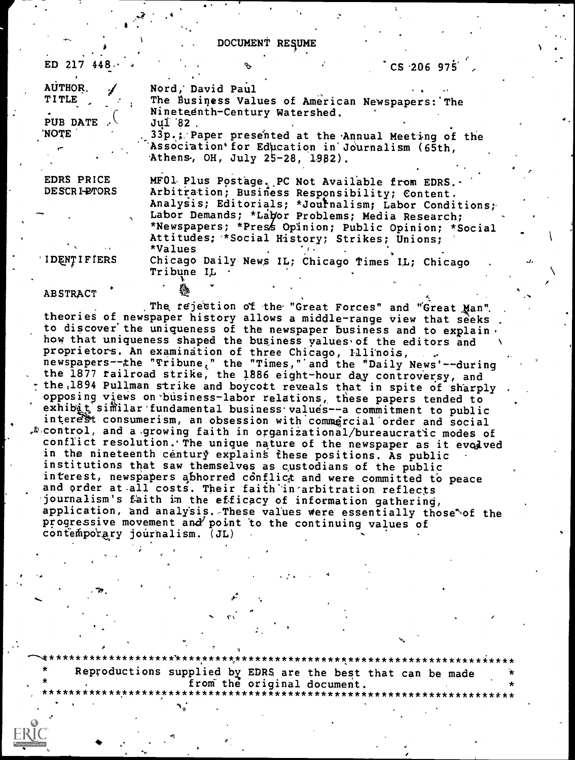DOCUMENT RESUME

| ED 217 $448.$      |                                                      | $\degree$ CS 206 975 $\degree$ |
|--------------------|------------------------------------------------------|--------------------------------|
| AUTHOR.            | Nord, David Paul                                     |                                |
| <b>TITLE</b>       | The Business Values of American Newspapers: The      |                                |
|                    | Nineteenth-Century Watershed.                        |                                |
| PUB DATE           | Jul 82.                                              |                                |
| <b>NOTE</b>        | 33p.; Paper presented at the Annual Meeting of the   |                                |
|                    | Association for Education in Journalism (65th,       |                                |
|                    | Athens, OH, July 25-28, 1982).                       |                                |
| EDRS PRICE         | MF01 Plus Postage. PC Not Available from EDRS        |                                |
| DESCRI-PTORS       | Arbitration; Business Responsibility; Content.       |                                |
|                    | Analysis; Editorials; *Journalism; Labor Conditions; |                                |
|                    | Labor Demands; *Labor Problems; Media Research;      |                                |
|                    | *Newspapers; *Press Opinion; Public Opinion; *Social |                                |
|                    | Attitudes; *Social History; Strikes; Unions;         |                                |
|                    | *Values                                              |                                |
| <b>IDENTIFIERS</b> | Chicago Daily News IL: Chicago Times IL: Chicago     |                                |

Chicago Daily News IL; Chicago Times IL; Chicago Tribune IL

**ABSTRACT** 

The rejection of the "Great Forces" and "Great Man". theories of newspaper history allows a middle-range view that seeks<br>to discover the uniqueness of the newspaper business and to explain. how that uniqueness shaped the business values of the editors and proprietors. An examination of three Chicago, Illinois, newspapers--the "Tribune," the "Times," and the "Daily News'--during<br>the 1877 railroad strike, the 1886 eight-hour day controversy, and the 1894 Pullman strike and boycott reveals that in spite of sharply opposing views on business-labor relations, these papers tended to exhibit similar fundamental business values--a commitment to public interest consumerism, an obsession with commercial order and social  $\mathcal{P}$  control, and a growing faith in organizational/bureaucratic modes of conflict resolution. The unique nature of the newspaper as it evolved in the nineteenth century explains these positions. As public institutions that saw themselves as custodians of the public interest, newspapers abhorred conflict and were committed to peace and order at all costs. Their faith in arbitration reflects journalism's faith in the efficacy of information gathering, application, and analysis. These values were essentially those of the progressive movement and point to the continuing values of contemporary journalism. (JL)

Reproductions supplied by EDRS are the best that can be made from the original document.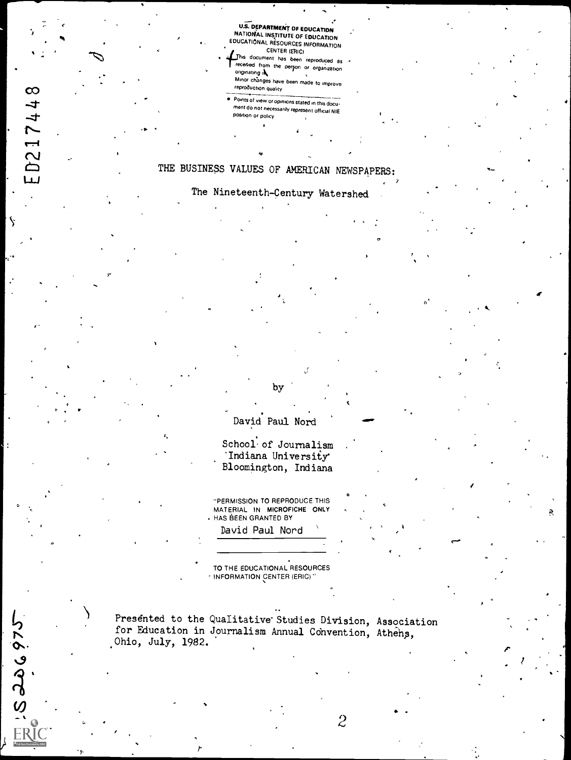U.S. DEPARTMENT OF EDUCATION NATIONAL INSTITUTE OF EDUCATION EDUCATIONAL RESOURCES INFORMATION

- CENTER (ERIC)<br>document has been reproduced as received from the person or organization.<br>originating ik minor changes have been made to improve.<br>reproduction quality
- Points of view or opinions stated in this docu-<br>ment do not necessarily represent official NIE<br>Position or policy

## it is a series of the series of the series of the series of the series of the series of the series of the series of the series of the series of the series of the series of the series of the series of the series of the seri THE BUSINESS VALUES OF AMERICAN NEWSPAPERS:

P<sub>ro</sub> Propinsi Propinsi Propinsi Propinsi Propinsi Propinsi Propinsi Propinsi Propinsi Propinsi Propinsi Propinsi Propinsi Propinsi Propinsi Propinsi Propinsi Propinsi Propinsi Propinsi Propinsi Propinsi Propinsi Propinsi

ED217448

Ŋ

- کاره هاه ی : 18<br>ERIC

 $\bullet$  .  $\bullet$  . The set of  $\bullet$ 

## The Nineteenth-Century Watershed

David Paul Nord

by

School<sup>.</sup> of Journalism 'Indiana University' Bloomington, Indiana

"PERMISSION TO REPRODUCE THIS MATERIAL IN MICROFICHE ONLY HAS BEEN GRANTED BY

 $\bullet$  and a set of  $\bullet$ 

2

David Paul Nord

TO THE EDUCATIONAL RESOURCES INFORMATION CENTER (ERIC) "

Presented to the Qualitative Studies Division, Association for Education in Journalism Annual Convention, Athens, Ohio, July, 1982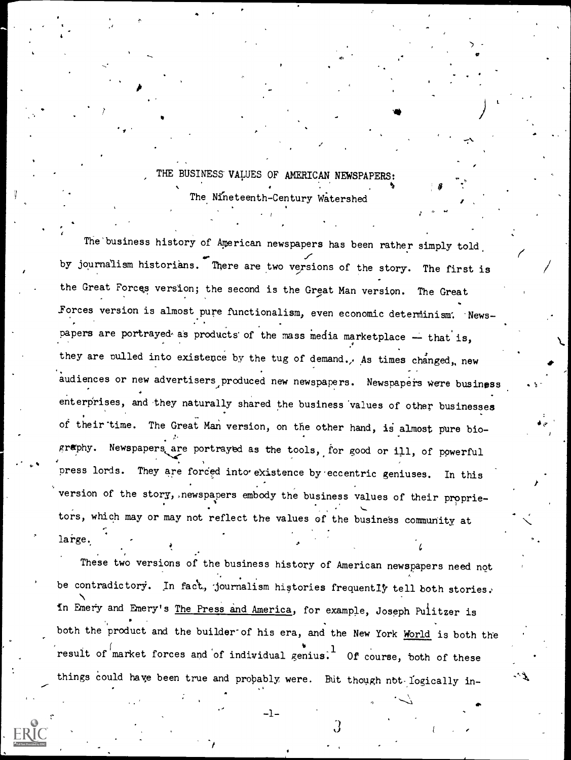## THE BUSINESS VALUES OF AMERICAN NEWSPAPERS:  $\mathbf{v}$

The Nineteenth-Century Watershed

 $\mathbf{r}$ 

 a

The'business history of Aperican newspapers has been rather simply told, by journalism historians. There are two versions of the story. The first is the Great Forces version; the second is the Great Man version. The Great forces version is almost pure functionalism, even economic determinism. Newspapers are portrayed as products of the mass media marketplace  $-$  that is, they are pulled into existence by the tug of demand., As times changed, new audiences or new advertisers produced new newspapers. Newspapers were business enterprises, and they naturally shared the business values of other businesses of their time. The Great Man version, on the other hand, is almost pure bio-. graphy. Newspapers are portrayed as the tools, for good or ill, of powerful press lords. They are forced into existence by eccentric geniuses. In this version of the story, newspapers embody the business values of their proprietors, which may or may not reflect the values of the business community at large.

These two versions of the business history of American newspapers need not be contradictory. In fact, journalism histories frequently tell both stories. In Emery and Emery's The Press and America, for example, Joseph Pulitzer is both the product and the builder of his era, and the New York World is both the result of  $\int$ market forces and of individual genius. Of course, both of these things could have been true and probably were. But though not-logically in-

 $\mathcal{A}$  and  $\mathcal{A}$  are the set of the set of the set of the set of the set of the set of the set of the set of the set of the set of the set of the set of the set of the set of the set of the set of the set of the set

 $\mathbf{J}$  (b) and (c) and (c) and (c) and (c) and (c) and (c) and (c) and (c) and (c) and (c) and (c) and (c) and (c) and (c) and (c) and (c) and (c) and (c) and (c) and (c) and (c) and (c) and (c) and (c) and (c) and (c)

-1-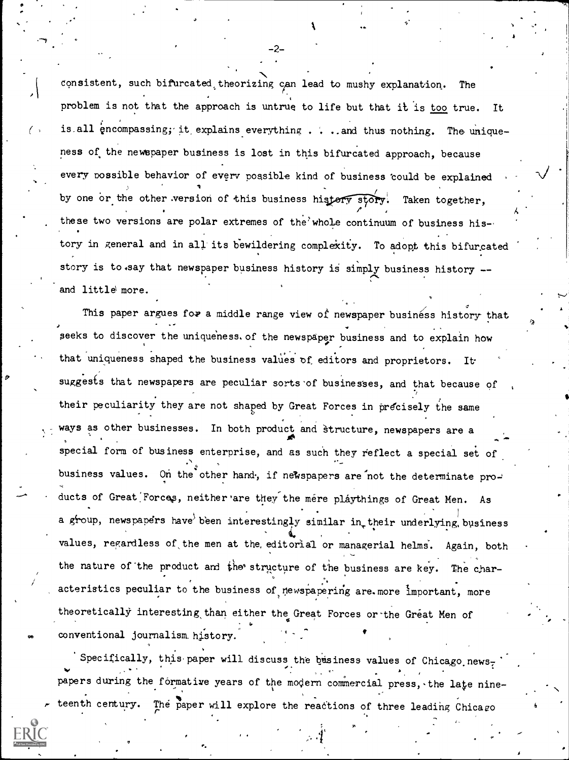consistent, such bifurcated theorizing can lead to mushy explanation. The problem is not that the approach is untrue to life but that it is too true. It is all encompassing; it explains everything . . . and thus nothing. The uniqueness of the newspaper business is lost in this bifurcated approach, because every possible behavior of every possible kind of business 'could be explained by one or the other version of this business histery story. Taken together, these two versions are polar extremes of the whole continuum of business history in general and in all its bewildering complexity. To adopt this bifurcated story is to say that newspaper business history is simply business history -and little more.

This paper argues for a middle range view of newspaper business history that seeks to discover the uniqueness. of the newspaper business and to explain how that uniqueness shaped the business values of editors and proprietors. It suggests that newspapers are peculiar sorts of businesses, and that because of their peculiarity they are not shaped by Great Forces in precisely the same ways as other businesses. In both product and structure, newspapers are a special form of business enterprise, and as such they reflect a special set of business values. On the other hand, if newspapers are not the determinate products of Great Forces, neither are they the mere playthings of Great Men. As . a group, newspapers have been interestingly similar in their underlying business values, regardless of the men at the editorial or managerial helms. Again, both the nature of the product and the structure of the business are key. The char- $\sim$ acteristics peculiar to the business of newspapering are.more important, more . . theoretically interesting than either the Great Forces or the Great Men of conventional journalism\_ history.

Specifically, this paper will discuss the basiness values of Chicago newspapers during the formative years of the modern commercial press, the late nineteenth century. The paper will explore the reactions of three leading Chicago

-2--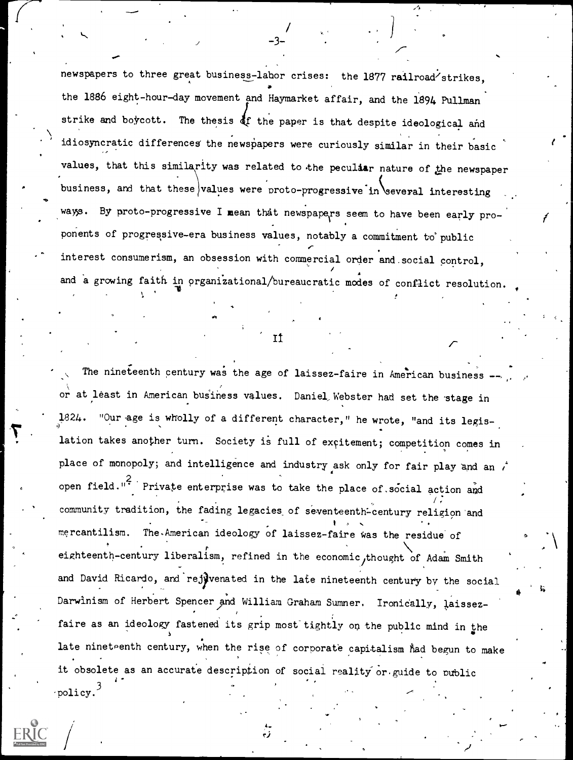newspapers to three great business-labor crises: the 1877 railroad strikes, the 1886 eight-hour-day movement and Haymarket affair, and the 1894 Pullman strike and boycott. The thesis of the paper is that despite ideological and idiosyncratic differences the newspapers were curiously similar in their basic values, that this similarity was related to the peculiar nature of the newspaper business, and that these values were proto-progressive in several interesting ways. By proto-progressive I mean that newspapers seem to have been early proponents of progressive-era business values, notably a commitment to° public  $\mathcal{F}$  and  $\mathcal{F}$ interest consumerism, an obsession with commercial order and.social control, and a growing faith in organizational/bureaucratic modes of conflict resolution.

<sub>J</sub> -3− -3− -

The nineteenth century was the age of laissez-faire in American business or at least in American business values. Daniel Webster had set the stage in "Our age is wholly of a different character," he wrote, "and its legislation takes another turn. Society is full of excitement; competition comes in place of monopoly; and intelligence and industry ask only for fair play and an  $t$ open field."<sup>2</sup> Private enterprise was to take the place of social action and  $\sqrt{t}$ community tradition, the fading legacies of seventeenth-century religion and mercantilism. The-American ideology of laissez-faire Was the residue of eighteenth-century liberalism, refined in the economic thought of Adam Smith  $\sim$ and David Ricardo, and rejuvenated in the late nineteenth century by the social Darwinism of Herbert Spencer and William Graham Sumner. Ironically, laissezfaire as an ideology fastened its grip most tightly on the public mind in the late nineteenth century, when the rise of corporate capitalism had begun to make it obsolete as an accurate description of social reality or guide to public  $\text{policy.}$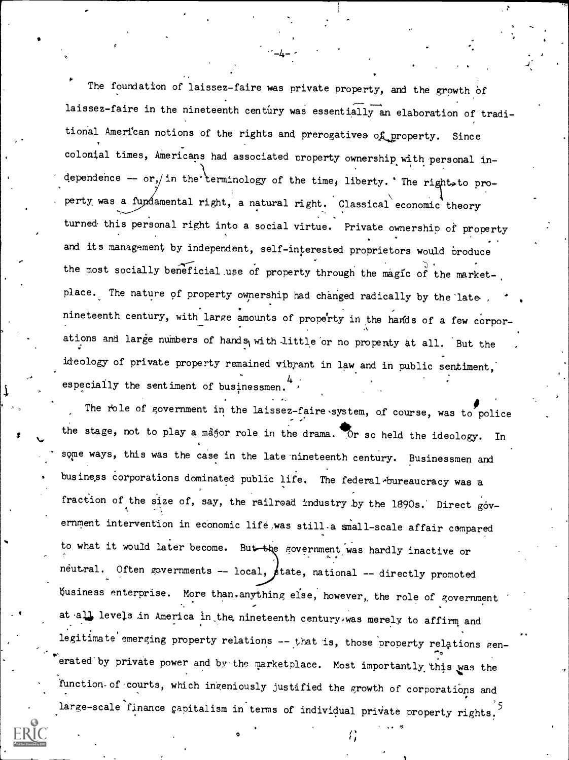The foundation of laissez-faire was private property, and the growth of laissez-faire in the nineteenth century was essentially an elaboration of traditional American notions of the rights and prerogatives of property. Since colonial times, Americans had associated property ownership with personal independence -- or, in the terminology of the time, liberty. 'The right to property was a fundamental right, a natural right. Classical economic theory turned this personal right into a social virtue. Private ownership of property and its management by independent, self-interested proprietors would broduce the most socially beneficial use of property through the magic of the market-. place. The nature of property ownership had changed radically by the late. nineteenth century, with large amounts of property in the hands of a few corporations and large numbers of hands, with little or no propenty at all. But the ideology of private property remained vibrant in law and in public sentiment, especially the sentiment of businessmen.

The role of government in the laissez-faire system, of course, was to police the stage, not to play a magor role in the drama. Or so held the ideology. In some ways, this was the case in the late nineteenth century. Businessmen and business corporations dominated public life. The federal bureaucracy was a fraction of the size of, say, the railroad industry by the 1890s. Direct government intervention in economic life, was still a small-scale affair compared to what it would later become. But the government was hardly inactive or neutral. Often governments -- local,  $\cancel{\epsilon}$ tate, national -- directly promoted Nsiness enterprise. More than.anything else, however,, the role of government at all levels in America in the nineteenth century, was merely to affirm and legitimate emerging property relations -- that is, those property relations generated by private power and by the marketplace. Most importantly this was the function of courts, which ingeniously justified the growth of corporations and large-scale finance capitalism in terms of individual private property rights.

o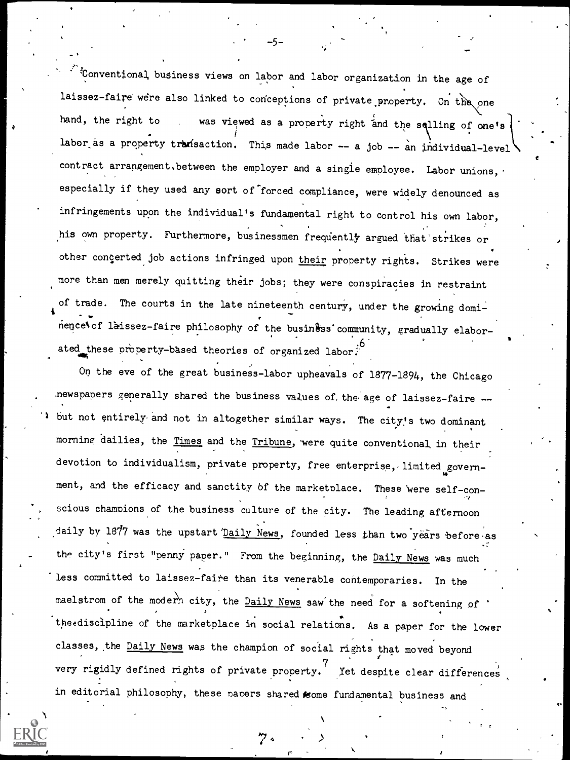4 Conventional business views on labor and labor organization in the age of laissez-faire were also linked to conceptions of private property. On the one hand, the right to was viewed as a property right and the selling of one's labor as a property transaction. This made labor  $-$  a job  $-$  an individual-level contract arrangement. between the employer and a single employee. Labor unions, especially if they used any sort of forced compliance, were widely denounced as infringements upon the individual's fundamental right to control his own labor, his own property. Furthermore, businessmen frequently argued that strikes or other concerted job actions infringed upon their property rights. Strikes were more than men merely quitting their jobs; they were conspiracies in restraint of trade. The courts in the late nineteenth century, under the growing dominence\ of laissez-faire philosophy of the business community, gradually elabor-. ated these property-based theories of organized labor t

5--

On the eve of the great business-labor upheavals of 1877-1894, the Chicago newspapers generally shared the business values of, the age of laissez-faire -but not entirely and not in altogether similar ways. The city's two dominant morning dailies, the Times and the Tribune, were quite conventional in their devotion to individualism, private property, free enterprise, limited government, and the efficacy and sanctity of the marketplace. These were self-conscious champions of the business culture of the city. The leading afternoon daily by 1877 was the upstart *'Daily News*, founded less than two years before as the city's first "penny paper." From the beginning, the Daily News was much Less committed to laissez-faire than its venerable contemporaries. In the maelstrom of the modern city, the Daily News saw the need for a softening of tpeediscipline of the marketplace in social relations. As a paper for the lower classes, the Daily News was the champion of social rights that moved beyond very rigidly defined rights of private property.<sup>'</sup> Yet de Xet despite clear differences in editorial philosophy, these papers shared some fundamental business and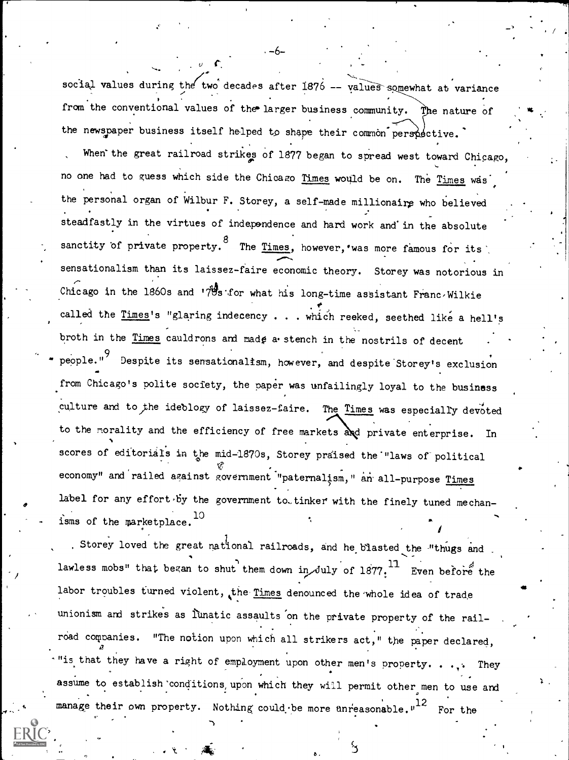social values during the two decades after  $1876$  -- values somewhat at variance from the conventional values of the larger business community. The nature of the newspaper business itself helped to shape their common perspective. When'the great railroad strikes of 1877 began to spread west toward Chicago, no one had to guess which side the Chicago Times would be on. The Times was the personal organ of Wilbur F. Storey, a self-made millionaire who believed steadfastly in the virtues of independence and hard work and'in the absolute sanctity of private property. <sup>8</sup> The <u>Ti</u> The Times, however, was more famous for its  $\sim$ sensationalism than its laissez-faire economic theory. Storey was notorious in Chicago in the 1860s and  $17\frac{M}{3}$ s for what his long-time assistant Franc/Wilkie called the Times's "glaring indecency . . . which reeked, seethed like a hell's broth in the Times cauldrons and made a stench in the nostrils of decent people."<sup>9</sup> Despite its sensationalism, however, and despite Storey's exclusion from Chicago's polite society, the paper was unfailingly loyal to the business culture and to the ideblogy of laissez-faire. The Times was especially devoted to the morality and the efficiency of free markets and private enterprise. In scores of editorials in the mid-1870s, Storey praised the "laws of political economy" and railed against government "paternalism," an all-purpose Times label for any effort by the government to tinker with the finely tuned mechanisms of the marketplace.<sup>10</sup>

-6-

vs

411

Storey loved the great national railroads, and he blasted the "thugs and lawless mobs" that began to shut them down in July of 1877. Even before the labor troubles turned violent, the Times denounced the whole idea of trade unionism and strikes as lunatic assaults on the private property of the railroad companies. "The notion upon which all strikers act," the paper declared, "is that they have a right of employment upon other men's property. ... They assume to establish'conditions, upon which they will permit other men to use and manage their own property. Nothing could be more unreasonable."<sup>12</sup> For the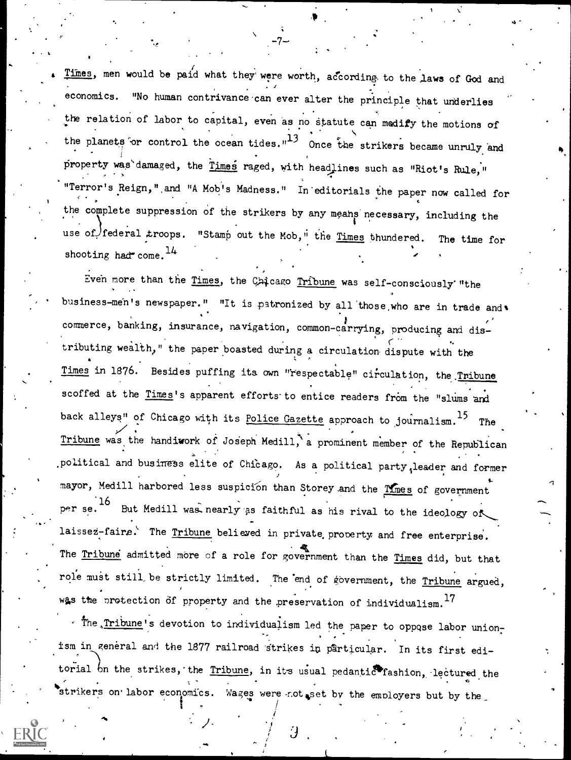Times, men would be paid what they were worth, according to the laws of God and economics. "No human contrivance can ever alter the principle that underlies the relation of labor to capital, even as no statute can medify the motions of the planets or control the ocean tides." $13$  Once the strikers became unruly and property was damaged, the  $r_{\text{times}}$  raged, with headlines such as "Riot's Rule," "Terror's Reign,",and "A Mob's Madness." In'editorials the paper now called for the complete suppression of the strikers by any means necessary, including the  $\bullet$  is a set of  $\bullet$ use of federal troops. "Stamp out the Mob," the Times thundered. The time for shooting had  $com.$ <sup>14</sup>

-7-

Even more than the Times, the Chicago Tribune was self-consciously "the business-men's newspaper." "It is patronized by all those who are in trade and w commerce, banking, insurance, navigation, common-carrying, producing and distributing wealth," the paper boasted during a circulation dispute with the Times in 1876. Besides puffing its own "respectable" circulation, the Tribune scoffed at the Times's apparent efforts to entice readers from the "slums and back alleys" of Chicago with its Police Gazette approach to journalism.<sup>15</sup> The Tribune was the handiwork of Joseph Medill, a prominent member of the Republican political and business elite of Chicago. As a political party, leader and former mayor, Medill harbored less suspicion than Storey and the Times of government r se.  $^{16}$  But Medill was nearly as faithful as his rival to the ideology of laissez-faire. The Tribune believed in private property and free enterprise. The Tribune admitted more of a role for government than the Times did, but that role must still be strictly limited. The end of government, the Tribune argued, was the protection of property and the preservation of individualism.  $^{17}$ 

 $\overline{\phantom{a}}$ 

. The Tribune's devotion to individualism led the paper to oppose labor unionism in general and the 1877 railroad strikes in particular. In its first editorial on the strikes, the Tribune, in its usual pedantic fashion, lectured the strikers on labor economics. Wages were not set by the employers but by the

 $\mathbf{1}$ 

 $\frac{1}{2}$ 

Û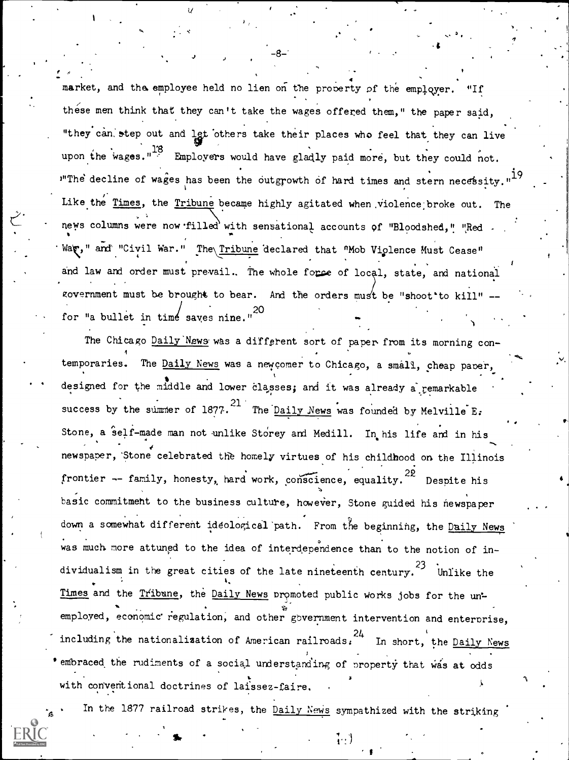market, and the employee held no lien on the property of the employer. "If these men think that they can't take the wages offered them," the paper said, "they can step out and let others take their places who feel that they can live upon the wages."<sup>13</sup> Employers would have gladly paid more, but they could not. Ine decline of wages has been the outgrowth of hard times and stern necessity."<sup>19</sup> **i** in the set Like the <u>Times</u>, the <u>Tribune</u> became highly agitated when violence broke out. The news columns were now filled with sensational accounts of "Bloodshed," "Red -War," and "Civil War." The Tribune declared that "Mob Violence Must Cease" . 4 r and law and order must prevail. The whole force of local, state, and national zovernment must be brought to bear. And the orders must be "shoot'to kill" for "a bullet in time saves nine."<sup>20</sup>

.4

 $\tilde{\phantom{a}}$ 

The Chicago Daily News was a different sort of paper from its morning contemporaries. The Daily News was a new comer to Chicago, a small, cheap paper, designed for the middle and lower classes; and it was already a remarkable success by the summer of 1877.<sup>21</sup> The <u>Daily News</u> was founded by Melville E. Stone, a self-made man not unlike Storey and Medill. In his life and in his newspaper, Stone celebrated the homely virtues of his childhood on the Illinois frontier -- family, honesty, hard work, conscience, equality.  $22$  Despite his basic commitment to the business culture, however, Stone guided his newspaper down a somewhat different ideological path. From the beginning, the Daily News .<br>was much more attuned to the idea of interdependence than to the notion of individualism in the great cities of the late nineteenth century.<sup>23</sup> Unlike the Times and the Tribune, the Daily News promoted public works jobs for the unemployed, economic regulation, and other government intervention and enterprise, <sup>24</sup> including the nationalization of American railroads: In short, the Daily News embraced the rudiments of a social understanding of property that was at odds  $2<sup>2</sup>$ with conventional doctrines of laissez-faire.

In the 1877 railroad strikes, the Daily News sympathized with the striking

 $\mathbf{H} = \begin{pmatrix} 1 & 1 & 1 \\ 1 & 1 & 1 \\ 1 & 1 & 1 \end{pmatrix}$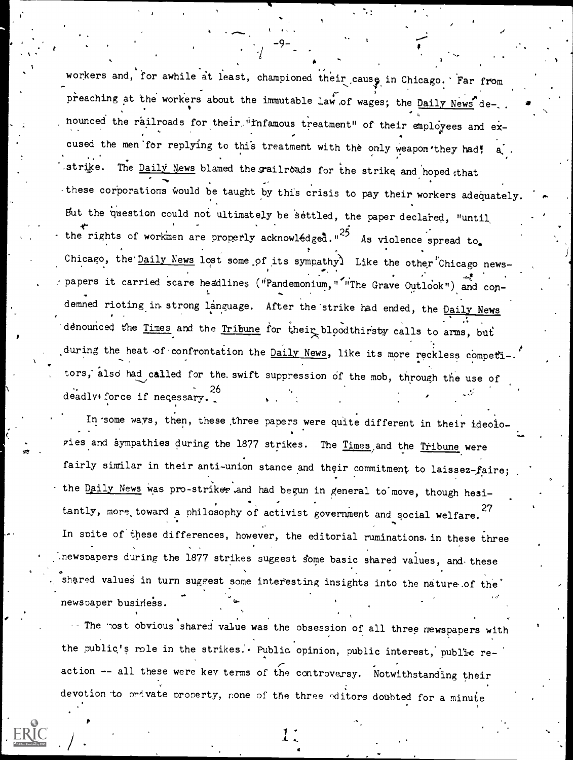workers and, for awhile at least, championed their cause in Chicago. Far from preaching at the workers about the immutable law of wages; the Daily News denounced the railroads for their "infamous treatment" of their employees and excused the men for replying to this treatment with the only weapon they had! The Daily News blamed the railroads for the strike and hoped that strike. these corporations would be taught by this crisis to pay their workers adequately But the question could not ultimately be settled, the paper declared, "until the rights of workmen are properly acknowledged."<sup>25</sup> As violence spread to. Chicago, the <u>Daily News</u> lost some of its sympathy) Like the other Chicago newspapers it carried scare headlines ("Pandemonium," "The Grave Outlook") and condemned rioting in strong language. After the strike had ended, the Daily News denounced the Times and the Tribune for their bloodthirsty calls to arms, but during the heat of confrontation the Daily News, like its more reckless competi-. tors, also had called for the swift suppression of the mob, through the use of deadly force if necessary.

In some ways, then, these three papers were quite different in their ideologies and sympathies during the 1877 strikes. The Times and the Tribune were fairly similar in their anti-union stance and their commitment to laissez-faire; the Daily News was pro-striker and had begun in general to move, though hesitantly, more toward a philosophy of activist government and social welfare.<sup>27</sup> In spite of these differences, however, the editorial ruminations in these three newspapers during the 1877 strikes suggest some basic shared values, and these shared values in turn suggest some interesting insights into the nature of the newspaper business.

... The most obvious shared value was the obsession of all three mewspapers with the public's mole in the strikes.'. Public opinion, public interest, public reaction -- all these were key terms of the controversy. Notwithstanding their devotion to private property, none of the three editors doubted for a minute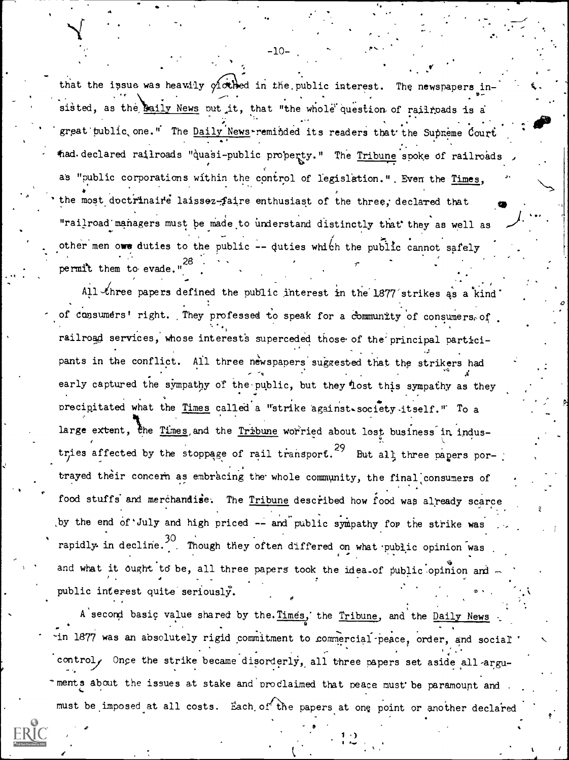that the issue was heavily  $\gamma$  othed in the public interest. The newspapers insisted, as the <u>maily News</u> put it, that "the whole question of railroads is a  $\mathbf{v}$  . The same state  $\mathbf{v}$ great public one." The  $\frac{Daily}{News}$ -reminded its readers that the Supreme Court thad. declared railroads "quasi-public property." The Tribune spoke of railroads as "public corporations within the control of legislation.". Even the Times, the most doctrinaire laissez-faire enthusiast of the three, declared that "railroad managers must be made to understand distinctly that they as well as other men owe duties to the public -- duties which the public cannot safely . . , permit them to evade.

,

-10-

All three papers defined the public interest in the 1877 strikes as a kind of consumers' right. They professed to speak for a community of consumers, of railroad services, whose interests superceded those of the principal participants in the conflict. All three newspapers suggested that the strikers had early captured the sympathy of the public, but they lost this sympathy as they precipitated what the Times called a "strike against-society itself." To a large extent, the Times and the Tribune worried about lost business in industries affected by the stoppage of rail transport.<sup>29</sup> But all three papers portrayed their concern as embracing the whole community, the final consumers of . . food stuffs and merchandise. The Tribune described how food was already scarce by the end of July and high priced -- and public sympathy for the strike was rapidly in decline. Though they often differed on what public opinion was and what it ought to be, all three papers took the idea.of public opinion and public interest quite seriously.

A second basic value shared by the. Times, the Tribune, and the Daily News in 1877 was an absolutely rigid commitment to commercial peace, order, and social control, Once the strike became disorderly, all three papers set aside all arguments about the issues at stake and proclaimed that peace must be paramount and must be imposed at all costs. Each of the papers at one point or another declared

e

 $1 + 3$ 

a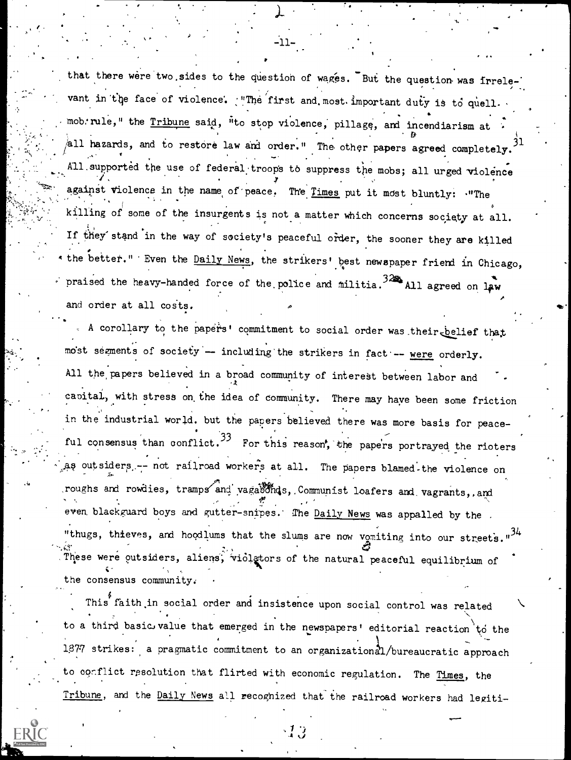that there were two sides to the question of wages. But the question was irrelevant in the face of violence. "The first and most important duty is to quell. mob'rule," the  $\frac{\text{Tribune}}{\text{supp}}$  said, "to stop violence, pillage, and incendiarism at ... 11 and 12 all hazards, and to restore law and order." The other papers agreed completely. All supported the use of federal troops to suppress the mobs; all urged violence against violence in the name of peace. The Times put it most bluntly: "The killing of some of the insurgents is not a matter which concerns society at all. If they' stand in the way of society's peaceful order, the sooner they are killed \* the better." Even the Daily News, the strikers' best newspaper friend in Chicago, praised the heavy-handed force of the police and militia.  $324$  All agreed on law and order at all costs.

r.

Y.

 $\cdots$ 

A corollary to the papers' commitment to social order was their belief that most segments of society -- including the strikers in fact -- were orderly. All the papers believed in a broad community of interest between labor and capital, with stress on, the idea of community. There may haye been some friction in the industrial world. but the papers believed there was more basis for peaceful consensus than conflict.  $33$  For this reason, the papers portrayed the rioters as outsiders -- not railroad workers at all. The papers blamed the violence on roughs and rowdies, tramps and vagabonds, Communist loafers and vagrants, and even, blackguard boys and gutter-snipes. The Daily News was appalled by the . "thugs, thieves, and hoodlums that the slums are now vomiting into our streets.  $\hat{c}$ . These were outsiders, aliens, violetors of the natural peaceful equilibrium of the consensus community:

This faith in social order and insistence upon social control was related  $\qquad \diagdown$ to a third basic value that emerged in the newspapers' editorial reaction to the 1877 strikes: a pragmatic commitment to an organizational/bureaucratic approach to conflict resolution that flirted with economic regulation. The Times, the Tribune, and the Daily News all recognized that the railroad workers had legiti-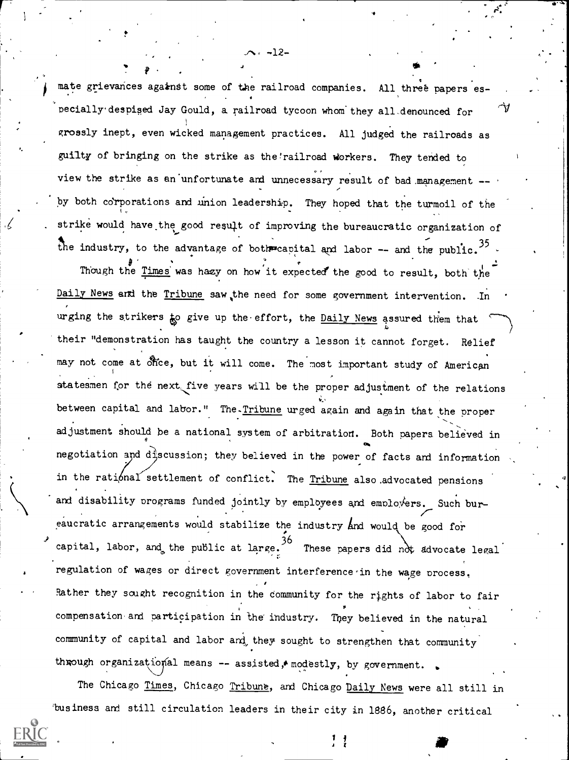mate grievances against some of the railroad companies. All three papers es-. pecially despised Jay Gould, a railroad tycoon whom they all denounced for  $\mathcal V$ grossly inept, even wicked management practices. All judged the railroads as guilty of bringing on the strike as the'railroad workers. They tended to view the strike as an unfortunate and unnecessary result of bad management -by both corporations and union leadership. They hoped that the turmoil of the strike would have the good result of improving the bureaucratic organization of . the industry, to the advantage of both eaplital and labor  $-$  and the public.<sup>35</sup>  $\cdot$ 

 $-12-$ 

 $\bullet$   $\bullet$   $\bullet$ 

Though the Times was hazy on how it expected the good to result, both the Daily News and the Tribune saw the need for some government intervention. urging the strikers to give up the effort, the Daily News assured them that  $\sim$ their "demonstration has taught the country a lesson it cannot forget. Relief may not come at office, but it will come. The most important study of American statesmen for the next five years will be the proper adjustment of the relations between capital and labor." The.Tribune urged again and again that the proper adjustment should be a national system of arbitration. Both papers believed in negotiation and discussion; they believed in the power of facts and information in the rational settlement of conflict. The Tribune also advocated pensions and disability programs funded jointly by employees and employers. Such bureaucratic arrangements would stabilize the industry and would be good for capital, labor, and the public at large.  $36$  $36 -$ These papers did not advocate legal regulation of wages or direct government interference in the wage process, Rather they sought recognition in the community for the rights of labor to fair compensation and participation in the industry. They believed in the natural community of capital and labor ard, they sought to strengthen that community through organizational means  $-$  assisted, modestly, by government.

The Chicago Times, Chicago Tribune, and Chicago Daily News were all still in 'business and still circulation leaders in their city in 1886, another critical

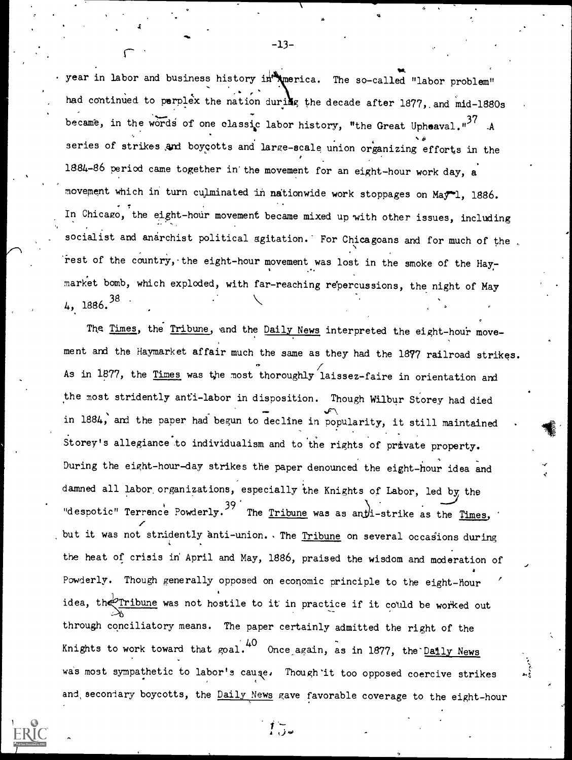year in labor and business history in imperica. The so-called "labor problem" had continued to perplex the nation during the decade after 1877, and mid-1880s became, in the words of one classic labor history, "the Great Upheaval." $37$  A  $\theta$  and  $\theta$ series of strikes and boycotts and large -scale union organizing efforts in the 1884-86 period came together in'the movement for an eight-hour work day, <sup>a</sup> movement which in turn culminated in nationwide work stoppages on May-1, 1886. In Chicago, the eight-hour movement became mixed up with other issues, including socialist and anarchist political agitation. For Chicagoans and for much of the rest of the country, the eight-hour movement was lost in the smoke of the Hay- $\cdots$ market bomb, which exploded, with far-reaching repercussions, the night of May 4, 1886. 38 .

The Times, the Tribune, and the Daily News interpreted the eight-hour movement and the Haymarket affair much the same as they had the 1877 railroad strikes. As in 1877, the Times was the most thoroughly laissez-faire in orientation and the most stridently anti-labor in disposition. Though Wilbur Storey had died  $\mathcal{F}$ in 1884, and the paper had begun to decline in popularity, it still maintained the set of the set of the set o Storey's allegiance to individualism and to the rights of private property. During the eight-hour-day strikes the paper denounced the eight-hour idea and damned all labor organizations, especially the Knights of Labor, led by the "despotic" Terrence Powderly.<sup>39</sup> The <u>Tribune</u> was as ant i-strike as the Times, ' z but it was not stridently anti-union. The <u>Tribune</u> on several occasions during the heat of crisis in April and May, 1886, praised the wisdom and moderation of a Pawderly. Though generally opposed on economic principle to the eight-hour idea, the Tribune was not hostile to it in practice if it could be worked out through conciliatory means. The paper certainly admitted the right of the Knights to work toward that  $\text{goal.}^{40}$  Once again, as in 1877, the Daily News was most sympathetic to labor's cause. Though it too opposed coercive strikes and, secondary boycotts, the Daily News gave favorable coverage to the eight-hour

 $\int_{0}^{\infty}$ 

11

 $\ddot{\epsilon}$  +  $\ddot{\epsilon}$ 

 $-13-$ 

r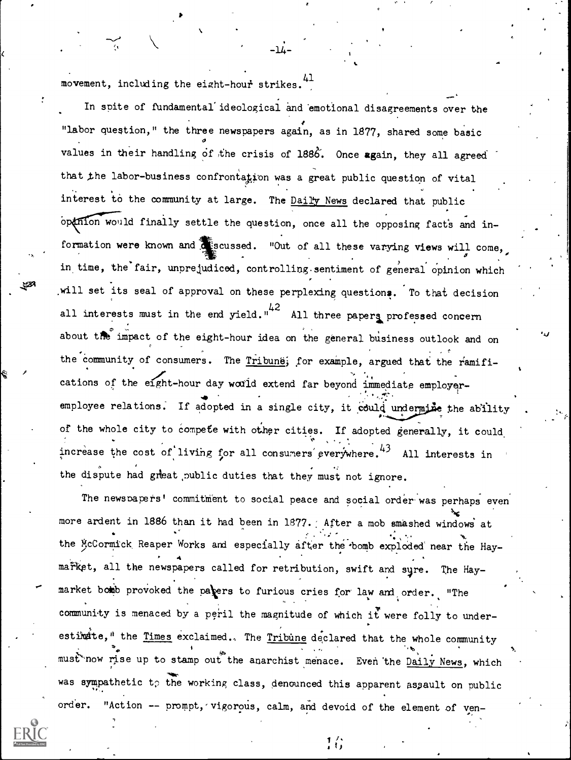movement, including the eight-hour strikes.<sup>41</sup>

In spite of fundamental ideological and emotional disagreements over the "labor question," the three newspapers again, as in 1877, shared some basic  $\sigma$  and  $\sigma$ values in their handling of the crisis of 1886. Once again, they all agreed that the labor-business confrontation was a great public question of vital interest to the community at large. The Dail'y News declared that public openion would finally settle the question, once all the opposing facts and information were known and sussed. "Out of all these varying views will come,  $\mathcal{I}$  and  $\mathcal{I}$ in time, the fair, unprejudiced, controlling sentiment of general opinion which in the  $\sim$ will set its seal of approval on these perplexing questions. To that decision all interests must in the end yield."<sup>42</sup> All three papers professed concern about the impact of the eight-hour idea on the general business outlook and on the community of consumers. The Tribune; for example, argued that the ramifications of the eight-hour day would extend far beyond immediate employeremployee relations. If adopted in a single city, it could undermine the ability .  $\qquad \qquad$  $\mathcal{L}$  -formulation  $\mathcal{L}$ of the whole city to compete with other cities. If adopted generally, it could increase the cost of living for all consumers everywhere.<sup>43</sup> All interests in the dispute had great public duties that they must not ignore.

-14-

The newspapers' commitment to social peace and social order was perhaps even  $\sim$   $\sim$ more ardent in 1886 than it had been in 1877. After a mob smashed windows at the McCormick Reaper Works and especially after the bomb exploded near the Hay- $\ddot{\phantom{a}}$ market, all the newspapers called for retribution, swift and sure. The Haymarket bomb provoked the pavers to furious cries for law and order. "The community is menaced by a peril the magnitude of which it were folly to underestimite," the Times exclaimed.. The Tribune declared that the whole community must now rise up to stamp out the anarchist menace. Even the <u>Daily News</u>, which was sympathetic to the working class, denounced this apparent assault on public order. "Action -- prompt, vigorous, calm, and devoid of the element of ven-

 $\mathbf{1}$   $\mathbf{1}$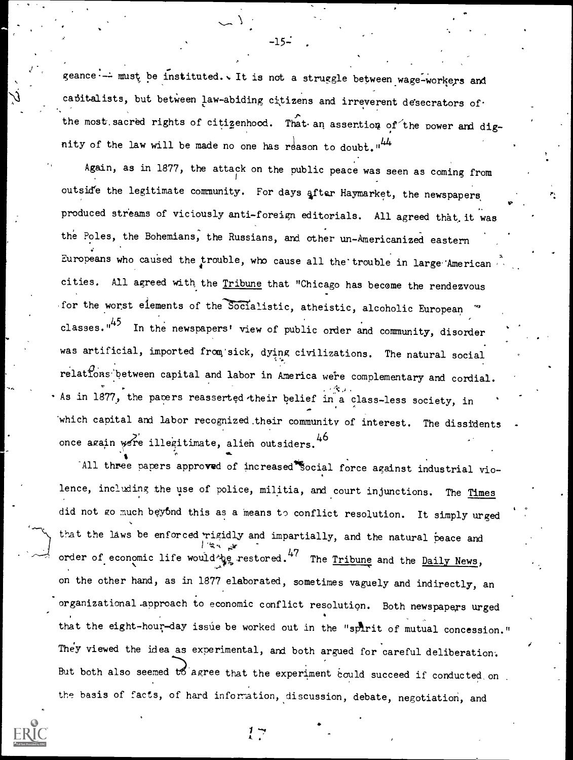geance -- must be instituted. It is not a struggle between wage-workers and cabitalists, but between law-abiding citizens and irreverent desecrators of the most sacred rights of citizenhood. That an assention of the power and dignity of the law will be made no one has reason to doubt."<sup>44</sup>

Again, as in 1877, the attack on the public peace was seen as coming from outside the legitimate community. For days after Haymarket, the newspapers produced streams of viciously anti-foreign editorials. All agreed that it was the Poles, the Bohemians, the Russians, and other un-Americanized eastern Europeans who caused the trouble, who cause all the trouble in large American cities. All agreed with the Tribune that "Chicago has become the rendezvous for the worst elements of the Socialistic, atheistic, alcoholic European classes."<sup>45</sup> In the newspapers' view of public order and community, disorder was artificial, imported from sick, dying civilizations. The natural social relations between capital and labor in America were complementary and cordial. As in 1877, the pacers reasserted their belief in a class-less society, in which capital and labor recognized their community of interest. The dissidents once again were illegitimate, alien outsiders. 46

All three papers approved of increased Social force against industrial violence, including the use of police, militia, and court injunctions. The Times did not go much beyond this as a means to conflict resolution. It simply urged that the laws be enforced rigidly and impartially, and the natural peace and order of economic life would ye restored. 47 The Tribune and the Daily News, on the other hand, as in 1877 elaborated, sometimes vaguely and indirectly, an organizational approach to economic conflict resolution. Both newspapers urged that the eight-hour-day issue be worked out in the "spirit of mutual concession." They viewed the idea as experimental, and both argued for careful deliberation. But both also seemed to agree that the experiment could succeed if conducted on the basis of facts, of hard information, discussion, debate, negotiation, and

 $-15-$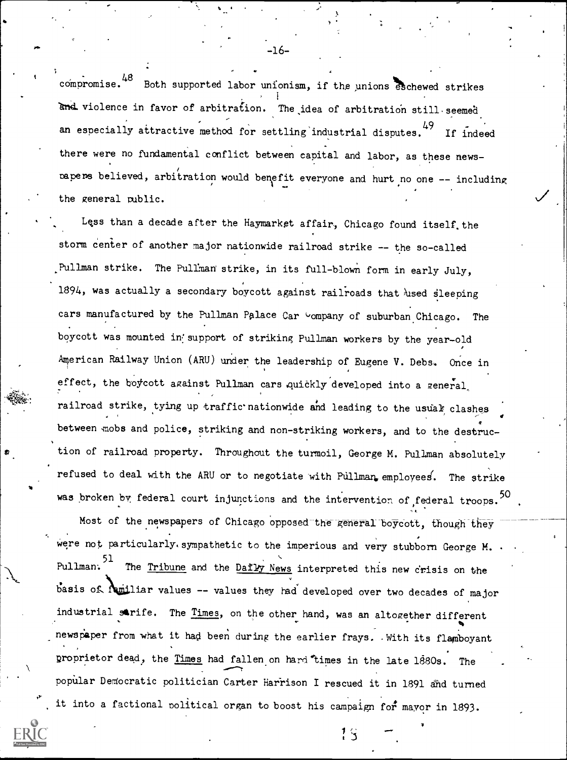$c$ ompromise.<sup>48</sup> Both supported labor unionism, if the unions eschewed strikes and violence in favor of arbitration. The idea of arbitration still seemed an especially attractive method for settling industrial disputes. "7 If indeed there were no fundamental conflict between capital and labor, as these newspapers believed, arbitration would benefit everyone and hurt no one -- including the general public.

Lqss than a decade after the Haymarket affair, Chicago found itself, the storm center of another major nationwide railroad strike -- the so-called Pullman strike. The Pullman strike, in its full-blown form in early July, 1894, was actually a secondary boycott against railroads that used sleeping cars manufactured by the Pullman Palace Car Company of suburban Chicago. The boycott was mounted in support of striking Pullman workers by the year-old American Railway Union (ARU) under the leadership of Eugene V. Debs. Once in effect, the boycott against Pullman cars quickly developed into a general, railroad strike, tying up traffic nationwide and leading to the usual clashes between nobs and police, striking and non-striking workers, and to the destruction of railroad property. Throughout the turmoil, George M. Pullman absolutely refused to deal with the ARU or to negotiate with Pullman, employees. The strike was broken by federal court injunctions and the intervention of federal troops.  $^{20}$  .

Most of the newspapers of Chicago opposed the general boycott, though they Were not particularly. sympathetic to the imperious and very stubborn George M. Pullman: 51 51 \_ \_ The <u>Tribune</u> and the <u>Daily News</u> interpreted this new crisis on the  $b$ asis of  $A$ miliar values -- values they had developed over two decades of major industrial strife. The Times, on the other hand, was an altogether different newspaper from what it had been during the earlier frays. With its flamboyant proprietor dead, the Times had fallen on hard times in the late 1880s. The popular Democratic politician Carter Harrison I rescued it in 1891 and turned it into a factional political organ to boost his campaign for mayor in 1893.

 $\mathbb{Q}$  and  $\mathbb{Z}$ 

I 3

-16-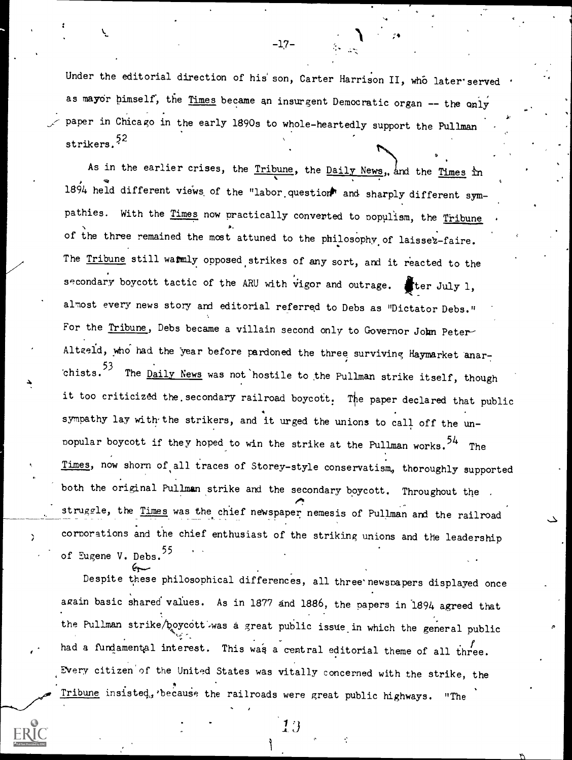Under the editorial direction of his son, Carter Harrison II, who later'served as mayor himself, the Times became an insurgent Democratic organ  $-$  the only paper in Chicago in the early 1890s to whole-heartedly support the Pullman strikers.<sup>52</sup>

to,

As in the earlier crises, the Tribune, the Daily News, and the Times in 1894 held different views of the "labor question" and sharply different sympathies. With the Times now practically converted to populism, the Tribune of the three remained the most attuned to the philosophy of laissez-faire. The Tribune still warmly opposed strikes of any sort, and it reacted to the secondary boycott tactic of the ARU with vigor and outrage. Fter July 1, almost every news story and editorial referred to Debs as "Dictator Debs." For the Tribune, Debs became a villain second only to Governor John Peter-Altgeld, who had the year before pardoned the three surviving Haymarket anar-.chists. <sup>53</sup> The <u>Daily News</u> was not nostile to the Pullman strike itself, though it too criticized the secondary railroad boycott. The paper declared that public sympathy lay with the strikers, and it urged the unions to call off the unpopular boycott if they hoped to win the strike at the Pullman works.<sup>54</sup> The Times, now shorn of all traces of Storey-style conservatism, thoroughly supported both the original Pullman strike and the secondary boycott. Throughout the struggle, the Times was the chief newspaper nemesis of Pullman and the railroad corporations and the chief enthusiast of the striking unions and the leadership of Eugene V. Debs.<sup>55</sup>

Despite these philosophical differences, all three' newspapers displayed once again basic shared values. As in 1877 and 1886, the papers in 1894 agreed that the Pullman strike/boycott.was a great public issue in which the general public had a fundamental interest. This was a central editorial theme of all three. Every citizen of the United States was vitally concerned with the strike, the Tribune insisted, because the railroads were great public highways. "The

1 }

 $-17-$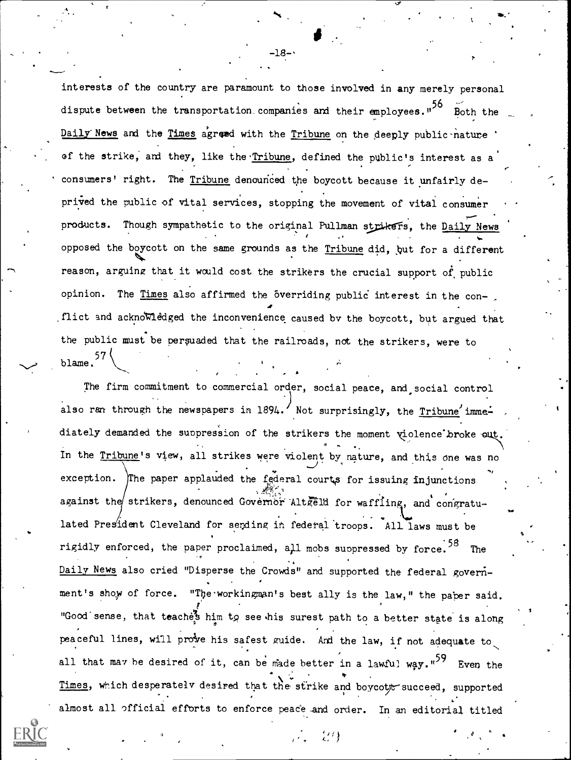interests of the country are paramount to those involved in any merely personal dispute between the transportation companies and their employees."<sup>26</sup> Both the Daily News and the Times agreed with the Tribune on the deeply public nature of the strike, and they, like the Tribune, defined the public's interest as a consumers' right. The Tribune denounced the boycott because it unfairly deprived the public of vital services, stopping the movement of vital consumer products. Though sympathetic to the original Pullman strikers, the Daily News , opposed the boycott on the same grounds as the Tribune did, but for a different reason, arguing that it would cost the strikers the crucial support of public opinion. The Times also affirmed the overriding public interest in the conflict and acknowledged the inconvenience caused by the boycott, but argued that the public must be persuaded that the railroads, not the strikers, were to blame. $\frac{57}{2}$ 

The firm commitment to commercial order, social peace, and social control also ran through the newspapers in 1894.  $\prime$  Not surprisingly, the Tribune' immediately demanded the suppression of the strikers the moment violence broke out. In the Tribune's view, all strikes were violent by nature, and this one was no exception. The paper applauded the federal courts for issuing injunctions against the strikers, denounced Governor Alterill for waffling, and congratulated President Cleveland for sending in federal troops. All laws must be rigidly enforced, the paper proclaimed, all mobs suppressed by force.<sup>58</sup> The Daily News also cried "Disperse the Crowds" and supported the federal government's show of force. "The workingman's best ally is the law," the paper said. "Good sense, that teache's him to see his surest path to a better state is along peaceful lines, will prove his safest guide. And the law, if not adequate to all that may be desired of it, can be made better in a lawful way."<sup>29</sup> Even the Times, which desperately desired that the strike and boycott succeed, supported , almost all official efforts to enforce peace and order. In an editorial titled

%

,

 $-18 -$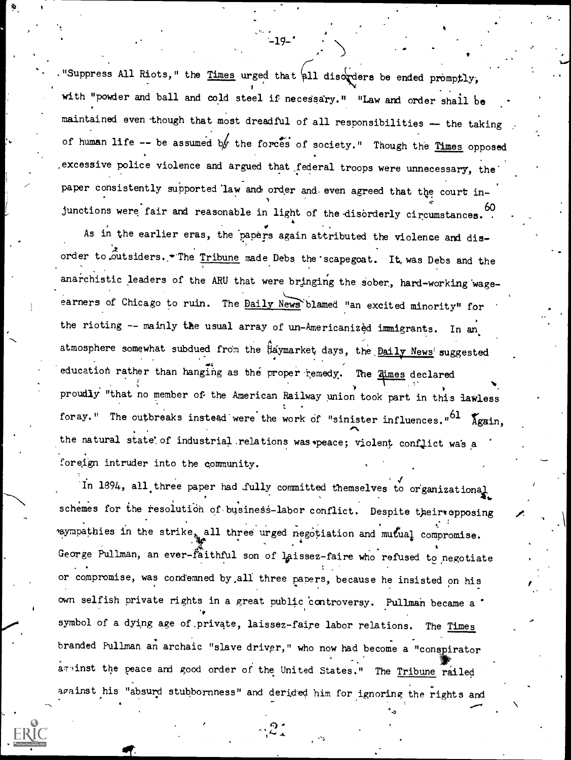"Suppress All Riots," the Times urged that  $\mu$ 11 discreters be ended promptly. with "powder and ball and cold steel if necessary." "Law and order shall be maintained even though that most dreadful of all responsibilities -- the taking of human life  $-$  be assumed by the forces of society." Though the Times opposed excessive police violence and argued that federal troops were unnecessary, the paper consistently supported law and order and even agreed that the court injunctions were fair and reasonable in light of the disorderly circumstances.

 $-19-$ 

As in the earlier eras, the papers again attributed the violence and disorder to outsiders. The Tribune made Debs the scapegoat. It was Debs and the anarchistic leaders of the ARU that were bringing the sober, hard-working wageearners of Chicago to ruin. The Daily News blamed "an excited minority" for the rioting -- mainly the usual array of un-Americanized immigrants. In an atmosphere somewhat subdued from the Haymarket days, the <u>Daily News'</u> suggested education rather than hanging as the proper remedy. The Rimes declared proudly "that no member of- the American Railway union took part in this lawless foray." The outbreaks instead were the work of "sinister influences."  $61 \text{ \texttextless}$ the natural state of industrial relations was peace; violent conflict was a foreign intruder into the community.

In 1894, all three paper had fully committed themselves to organizational schemes for the resolution of business-labor conflict. Despite their opposing mympathies in the strike all three urged negotiation and mutual compromise. George Pullman, an ever-faithful son of laissez-faire who refused to negotiate or compromise, was condemned by,all three papers, because he insisted on his own selfish private rights in a great public controversy. Pullman became a \* symbol of a dying age of private, laissez-faire labor relations. The Times branded Pullman an archaic "slave driver," who now had become a "conspirator against the peace and good order of the United States." The Tribune railed against his "absurd stubbornness" and derided him for ignoring the rights and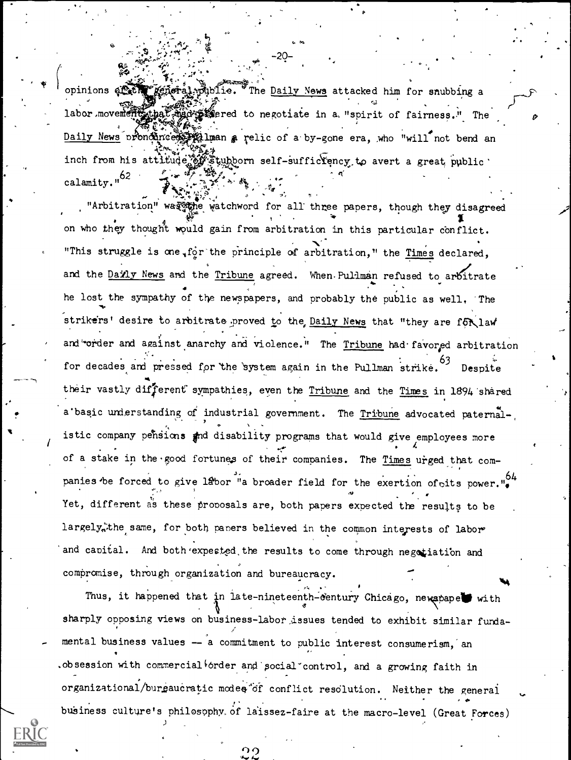opinions at the general mubile. The Daily News attacked him for snubbing a labor movement had made for the contrate in a "spirit of fairness." The Daily News prondince in luan a relic of a by-gone era, who "will not bend an inch from his attitude of stubborn self-sufficiency to avert a great public. calamity."<sup>62</sup>

"Arbitration" was the watchword for all three papers, though they disagreed on who they thought would gain from arbitration in this particular conflict. "This struggle is one for the principle of arbitration," the Times declared, and the Daily News and the Tribune agreed. When Pullman refused to arbitrate he lost the sympathy of the newspapers, and probably the public as well. The strikers' desire to arbitrate proved to the Daily News that "they are for law and "order and against anarchy and violence." The Tribune had favored arbitration for decades and pressed for the system again in the Pullman strike. 63 Despite their vastly different sympathies, even the Tribune and the Times in 1894 shared a basic understanding of industrial government. The Tribune advocated paternalistic company pehsions and disability programs that would give employees more of a stake in the good fortunes of their companies. The Times urged that companies be forced to give labor "a broader field for the exertion of oits power. Yet, different as these proposals are, both papers expected the results to be largely the same, for both papers believed in the common interests of labor and capital. And both expected the results to come through negotiation and compromise, through organization and bureaucracy.

Thus, it happened that in late-nineteenth-century Chicago, newapape with sharply opposing views on business-labor issues tended to exhibit similar fundamental business values -- a commitment to public interest consumerism, an .obsession with commercial order and pocial control, and a growing faith in organizational/burgaucratic modes of conflict resolution. Neither the general business culture's philosophy of laissez-faire at the macro-level (Great Forces)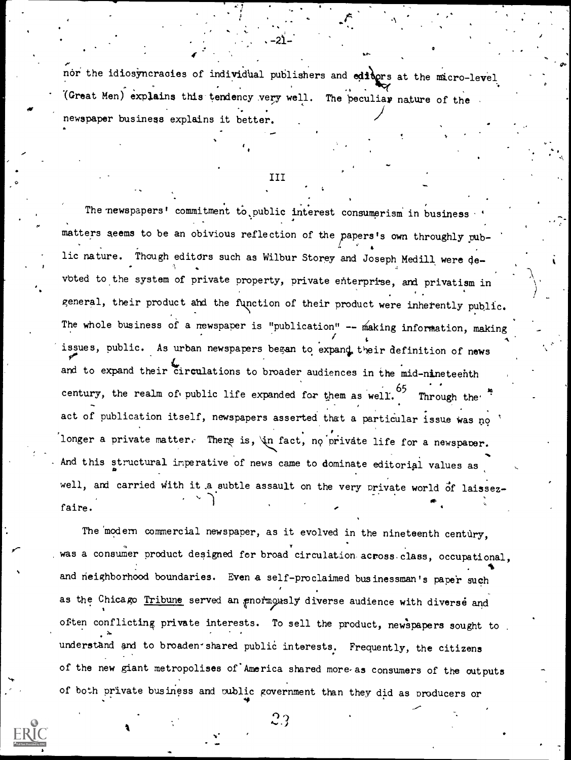nor the idiosyncracies of individual publishers and editors at the micro-level (Great Men) explains this tendency very well. The  $\frac{1}{2}$  peculiar nature of the newspaper business explains it better.

-21-

Is

III

The newspapers' commitment to public interest consumerism in business matters seems to be an obivious reflection of the papers's own throughly public nature. Though editors such as Wilbur Storey and Joseph Medill were de-,1 voted to the system of private property, private enterprise, and privatism in general, their product and the function of their product were inherently public. The whole business of a newspaper is "publication"  $--$  making information, making issues, public. As urban newspapers began to expand, their definition of news and to expand their circulations to broader audiences in the mid-nineteenth . century, the realm of public life expanded for them as well. 65 <sub>m</sub> de de la 1910 de la 1910 de la 1910 de la 1910 de la 1910 de la 1910 de la 1910 de la 1910 de la 1910 de la 1910 de la 1910 de la 1910 de la 1910 de la 1910 de la 1910 de la 1910 de la 1910 de la 1910 de la 1910 de Through the' act of publication itself, newspapers asserted that a particular issue was no longer a private matter. There is, in fact, no private life for a newspaper. And this structural imperative of news came to dominate editorial values as well, and carried with it a subtle assault on the very private world of laissezfaire.

The modern commercial newspaper, as it evolved in the nineteenth century, was a consumer product designed for broad circulation across-class, occupational, Service and the service of the service and neighborhood boundaries. Even a self-proclaimed businessman's paper such as the Chicago Tribune served an gnormously diverse audience with diverse and often conflicting private interests. To sell the product, newspapers sought to understand and to broaden-shared public interests. Frequently, the citizens of the new giant metropolises of America shared more-as consumers of the outputs of both private business and public government than they did as producers or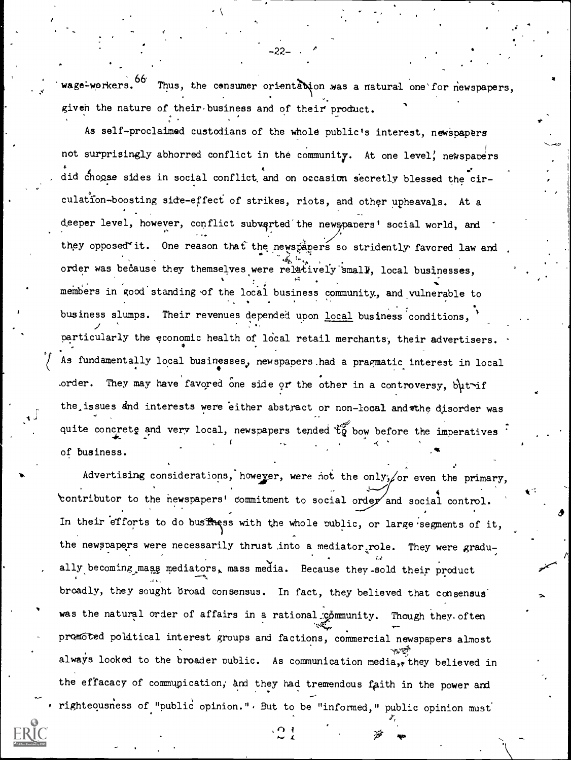wage-workers. <sup>00</sup> Thus, the consumer orientabion was a natural one for newspapers, giveh the nature of their-business and of their product.

-22-

As self-proclaimed custodians of the whole public's interest, newspapers not surprisingly abhorred conflict in the community. At one level, newspapers did choose sides in social conflict and on occasion secretly blessed the circulation-boosting side-effect of strikes, riots, and other upheavals. At a deeper level, however, conflict subverted the newspapers' social world, and they opposed it. One reason that the newspapers so stridently favored law and .. order was because they themselves were relatively small, local businesses, members in good standing of the local business community, and vulnerable to business slumps. Their revenues depended upon local business conditions, particularly the economic health of local retail merchants, their advertisers.  $\bullet$  and  $\bullet$ As fundamentally local businesses, new spapers had a pragmatic interest in local order. They may have favored one side or the other in a controversy,  $b\mu t$  if the issues and interests were either abstract or non-local and the disorder was quite concrete and very local, newspapers tended  $t_{2}^{\infty}$  bow before the imperatives of business.

Advertising considerations, however, were not the only, or even the primary, 'contributor to the newspapers' commitment to social order and social control. In their efforts to do busingss with the whole public, or large segments of it, the newspapers were necessarily thrust ,into a mediator role. They were gradually becoming mass mediators, mass media. Because they sold their product broadly, they sought broad consensus. In fact, they believed that consensus was the natural order of affairs in a rational gommunity. Though they. often promoted political interest groups and factions, commercial newspapers almost always looked to the broader public. As communication media,, they believed in the effacacy of communication, and they had tremendous faith in the power and righteousness of "public opinion.", But to be "informed," public opinion must

 $\Omega$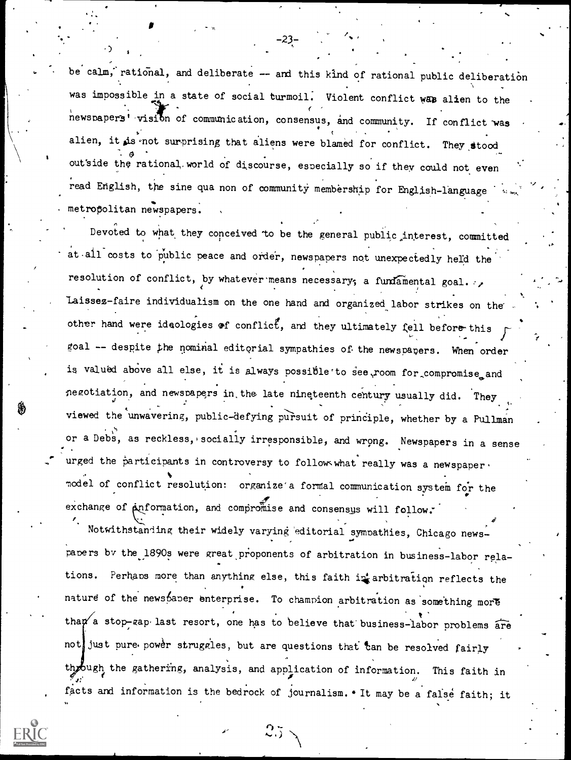be calm, rational, and deliberate -- and this kind of rational public deliberation was impossible in a state of social turmoil. Violent conflict was alien to the newspapers' visiton of communication, consensus, and community. If conflict was alien, it is not surprising that aliens were blamed for conflict. They stood  $\Theta$  and  $\Theta$ outside the rational.world of discourse, especially so if they could not even read English, the sine qua non of community membership for English-language . metropolitan newspapers.

-23-

Devoted to what they conceived 'to be the general public interest, committed at all costs to public peace and order, newspapers not unexpectedly held the resolution of conflict, by whatever means necessary; a fundamental goal. laissez-faire individualism on the one hand and organized labor strikes on the' other hand were ideologies of conflict, and they ultimately fell before this goal -- despite the nominal editorial sympathies of the newspapers. When order is valued above all else, it is always possible to see room for compromise and negotiation, and newspapers in the late nineteenth century usually did. They viewed the unwavering, public-defying pursuit of principle, whether by a Pullman. or a Debs, as reckless, socially irresponsible, and wrong. Newspapers in a sense urged the participants in controversy to follow what really was a newspaper, model of conflict resolution: organize a formal communication system for the exchange of  $A$ nformation, and compromise and consensus will follow.

Notwithstanding their widely varying 'editorial sympathies, Chicago newspapers by the 1890s were great proponents of arbitration in business-labor relations. Perhaps more than anything else, this faith in arbitration reflects the nature of the newspaper enterprise. To champion arbitration as something more than a stop-gap last resort, one has to believe that business-labor problems are not just pure power struggles, but are questions that tan be resolved fairly through the gathering, analysis, and application of information. This faith in 4: facts and information is the bedrock of journalism.\* It may be a fafse faith; it

n,

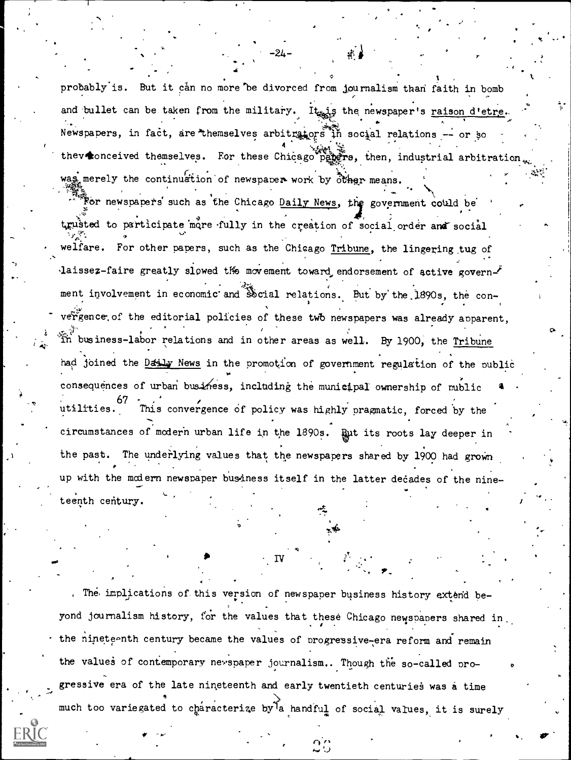probably is. But it can no more be divorced from journalism than faith in bomb and bullet can be taken from the military. It is the newspaper's raison d'etre. Newspapers, in fact, are themselves arbitrators in social relations -- or so thev conceived themselves. For these Chicago pagers, then, industrial arbitration was merely the continuation of newspaper work by other means.

For newspapers such as the Chicago Daily News, the government could be trusted to participate more fully in the creation of social order and social welfare. For other papers, such as the Chicago Tribune, the lingering tug of laissez-faire greatly slowed the movement toward endorsement of active government involvement in economic and Social relations. But by the 1890s, the convergence of the editorial policies of these two newspapers was already apparent. in business-labor relations and in other areas as well. By 1900, the Tribune had joined the Datily News in the promotion of government regulation of the public consequences of urban business, including the municipal ownership of mublic utilities. This convergence of policy was highly pragmatic, forced by the circumstances of modern urban life in the 1890s. But its roots lay deeper in the past. The underlying values that the newspapers shared by 1900 had grown up with the modern newspaper business itself in the latter decades of the nineteenth century.

. The implications of this version of newspaper business history extend beyond journalism history, for the values that these Chicago newspapers shared in. the nineteenth century became the values of progressive-era reform and remain the values of contemporary newspaper journalism.. Though the so-called progressive era of the late nineteenth and early twentieth centuries was a time much too variegated to characterize by a handful of social values, it is surely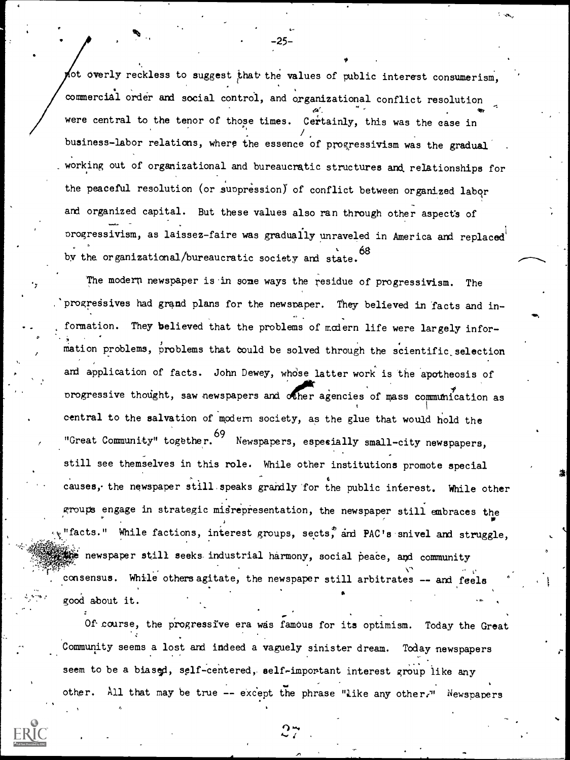Not overly reckless to suggest that the values of public interest consumerism. were central to the tenor of those times. Certainly, this was the case in commercial order and social control, and organizational conflict resolution  $\prime$  , where  $\prime$ business-labor relations, where the essence of progressivism was the gradual . working out of organizational and bureaucratic structures and, relationships for the peaceful resolution (or suppression) of conflict between organized labor and organized capital. But these values also ran through other aspect's of progressivism, as laissez-faire was gradually unraveled in America and replaced by the organizational/bureaucratic society and state. 68

725-

The modern newspaper is in some ways the residue of progressivism. The progressives had grand plans for the newspaper. They believed in facts and information. They believed that the problems of modern life were largely information problems, problems that could be solved through the scientific selection and application of facts. John Dewey, whose latter work is the apotheosis of **Adolf** Contract on the Contract of the Contract of the Contract of the Contract of the Contract of the Contract of the Contract of the Contract of the Contract of the Contract of the Contract of the Contract of the Contra progressive thought, saw newspapers and other agencies of mass communication as central to the salvation of modern society, as the glue that would hold the "Great Community" together.<sup>09</sup> Newspapers, especially small-city newspapers, still see themselves in this role. While other institutions promote special causes, the newspaper still speaks grandly for the public interest. While other groups engage in strategic misrepresentation, the newspaper still embraces the "facts." While factions, interest groups, sects, and PAC's snivel and struggle,  $\frac{d\mathcal{L}}{d\mathcal{L}}$  newspaper still seeks industrial harmony, social peace, and community consensus. While others agitate, the newspaper still arbitrates -- and feele good about it.

Of course, the progressive era was famous for its optimism. Today the Great Community seems a lost and indeed a vaguely sinister dream. Today newspapers . . seem to be a biased, self-centered, self-important interest group like any other. All that may be true -- except the phrase "like any other." Newspapers

4\* .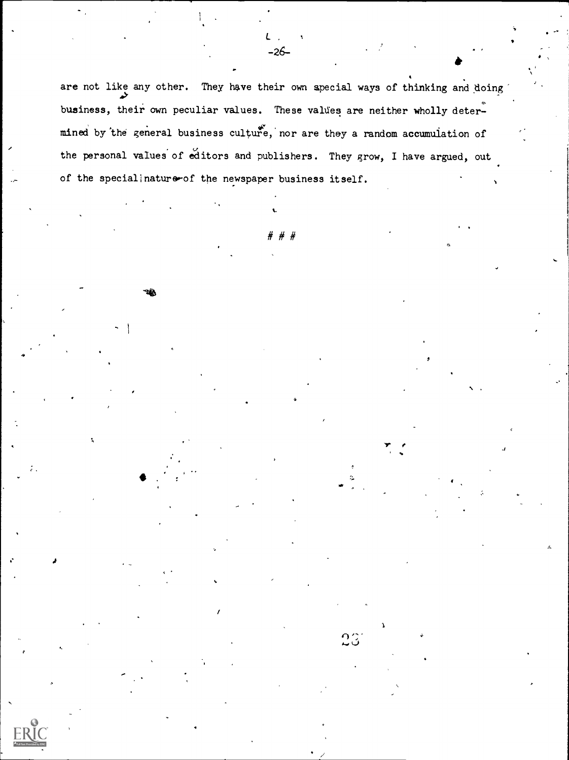are not like any other. They have their own special ways of thinking and doing  $\bullet$ business, their own peculiar values. These values are neither wholly determined by 'the general business cultufe,'nor are they a random accumulation of the personal values of editors and publishers. They grow, I have argued, out of the special nature-of the newspaper business itself.

# # #

 $23$ 

4

 $\mathcal{L} = \{ \mathcal{L} \}$ 

 $L_{\alpha}$  ,  $\alpha$  ,  $\beta$ -26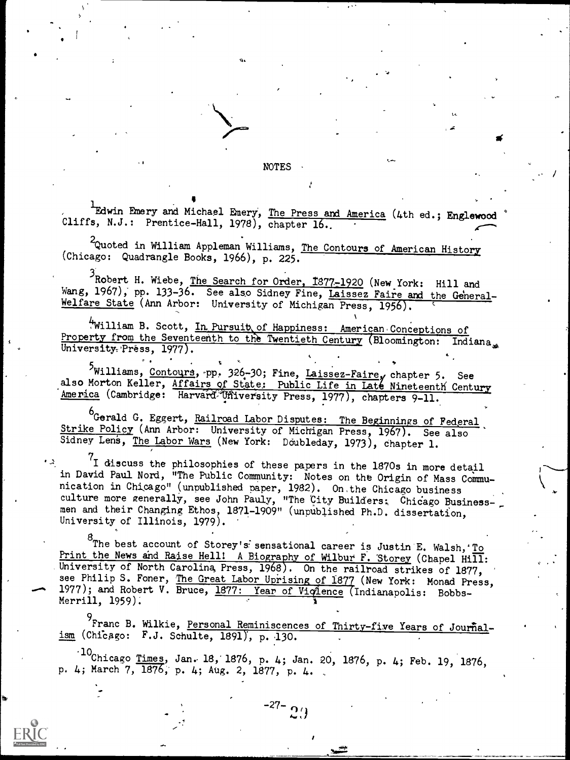NOTES

Edwin Emery and Michael Emery, The Press and America (4th ed.; Englewood \* Cliffs, N.J.: Prentice-Hall, 1978), chapter 16.

2 Quoted in William Appleman Williams, The Contours of American History (Chicago: Quadrangle Books, 1966), p. 225.

 $\blacksquare$ 

3Robert H. Wiebe, The Search for Order, 1877-1920 (New York: Hill and Wang, 1967), pp. 133-36. See also Sidney Fine, Laissez Faire and the General-Welfare State (Ann Arbor: University of Michigan Press, 1956).

William B. Scott, In Pursuit of Happiness: American Conceptions of rty from the Seventeenth to the Twentieth Century (Bloomington: Indiana Property from the Seventeenth to the Twentieth Century (Bloomington: University. Press, 1977).

5<br>Williams, Contours, pp. 326-30; Fine, Laissez-Faire, chapter 5. See also Morton Keller, Affairs of State: Public Life in Late Nineteenth Century America (Cambridge: Harvard<sup>3</sup>Uñiversity Press, 1977), chapters 9-11.

<sup>6</sup>Gerald G. Eggert, <u>Railroad Labor Disputes: The Beginnings of Federal</u> Strike Policy (Ann Arbor: University of Michigan Press, 1967). See also Sidney Lens, The Labor Wars (New York: Doubleday, 1973), chapter 1.

I discuss the philosophies of these papers in the 1870s in more detail in David Paul Nord, "The Public Community: Notes on the Origin of Mass Communication in Chicago" (unpublished paper, 1982). On,the Chicago business culture more generally, see John Pauly, "The City Builders; Chicago Businessmen and their Changing Ethos, 1871-1909" (unpublished Ph.D. dissertation, University of Illinois, 1979).

<sup>8</sup>The best account of Storey's sensational career is Justin E. Walsh, To Print the News and Raise Hell! A Biography of Wilbur F. Storey (Chapel Hill: University of North Carolina Press, 1968). On the railroad strikes of 1877, see Philip S. Foner, The Great Labor Uprising of 1877 (New York: Monad Press, 1977); and Robert V. Bruce, 1877: Year of Vicience (Indianapolis: Bobbs-Merrill, 1959).

<sup>9</sup> Franc B. Wilkie, Personal Reminiscences of Thirty-five Years of Journal $ism$  (Chicago: F.J. Schulte, 1891), p. 130.

 $10$ Chicago <u>Times</u>, Jan. 18, 1876, p. 4; Jan. 20, 1876, p. 4; Feb. 19, 1876, p. 4; March 7, 1876, p. 4; Aug. 2, 1877, p. 4.

 $-27 \Omega$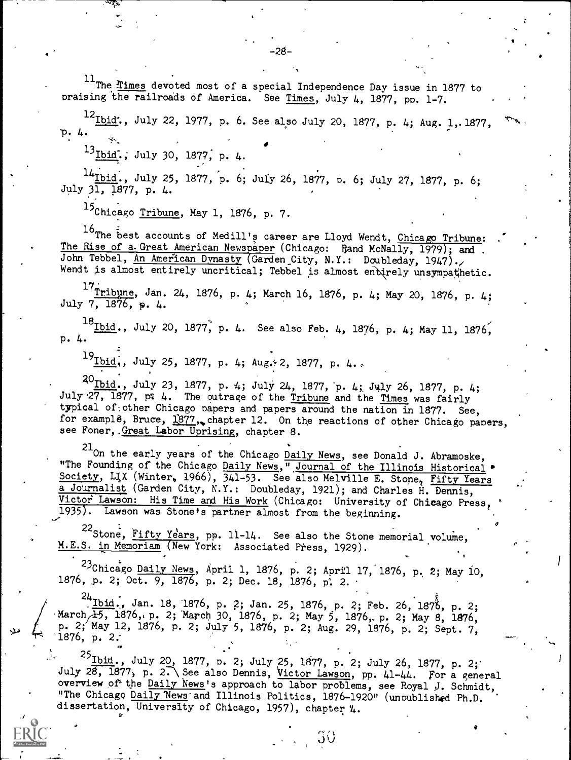$11$ The <u>Times</u> devoted most of a special Independence Day issue in 1877 to praising the railroads of America. See Times, July 4, 1877, pp. 1-7.

 $^{12}$ Ibid", July 22, 1977, p. 6. See also July 20, 1877, p. 4; Aug. 1, 1877,  $^{35}$ ID. 4.

13Ibid.; July 30, 1877, p. 4.

 $14$ <sub>Ibid.</sub>, July 25, 1877, p. 6; July 26, 1877, p. 6; July 27, 1877, p. 6; July 31, 1877, p. 4.

15Chicago Tribune, May 1, 1876, p. 7.

16The best accounts of Medill's career are Lloyd Wendt, Chicago Tribune: The Rise of a Great American Newspaper (Chicago: Rand McNally, 1979); and John Tebbel, An American Dynasty (Garden City, N.Y.: Doubleday, 1947). Wendt is almost entirely uncritical; Tebbel is almost endirely unsympathetic.

 $\frac{17}{11}$ Tribune, Jan. 24, 1876, p. 4; March 16, 1876, p. 4; May 20, 1876, p. 4; July  $7, 1876, p. 4.$ 

 $^{18}$ <u>Ibid</u>., July 20, 1877, p. 4. See also Feb. 4, 1876, p. 4; May 11, 1876, p. 4.

 $^{19}$ Ibid., July 25, 1877, p. 4; Aug. 2, 1877, p. 4..

 $^{20}$ Ibid., July 23, 1877, p. 4; July 24, 1877, p. 4;, July 26, 1877, p. 4; July 27, 1877, pt 4. The outrage of the Tribune and the Times was fairly typical of:other Chicago papers and papers around the nation in 1877. See, for example, Bruce,  $1877$ , chapter 12. On the reactions of other Chicago papers, see Foner, Great Labor Uprising, chapter 8.

 $^{21}$ On the early years of the Chicago  $\underline{\texttt{Daily News}}$ , see Donald J. Abramoske, "The Founding of the Chicago Daily News, "Journal of the Illinois Historical . Society, Lix (Winter, 1966), 341-53. See also Melville E. Stone, Fifty Years a Journalist (Garden City, N.Y.: Doubleday, 1921); and Charles H. Dennis, Victor Lawson: His Time and His Work (Chicago: University of Chicago Press, 1935). Lawson was Stone's partner almost from the beginning.

 $\sigma$  and  $\sigma$ 

 $\mathbf{v}$ 

22Stone, Fifty Years, pp. 11-14. See also the Stone memorial volume, M.E.S. in Memoriam (New York: Associated Press, 1929).

 $23$ Chicago Daily News, April 1, 1876, p. 2; April 17, 1876, p. 2; May 10, 1876, p. 2; Oct. 9, 1876, p. 2; Dec. 18, 1876, p. 2.

 $^{24}$  Ibid:, Jan. 18, 1876, p. 2; Jan. 25, 1876, p. 2; Feb. 26, 1878, p. 2; March  $\overline{15}$ , 1876, p. 2; March 30, 1876, p. 2; May 5, 1876, p. 2; May 8, 1876, p. 2; May 12, 1876, p. 2; July 5, 1876, p. 2; Aug. 29, 1876, p. 2; Sept. 7, 1876, p. 2;

 $\frac{25 \text{Ibid.}}{25 \text{Ibid.}}$ , July 20, 1877, p. 2; July 25, 1877, p. 2; July 26, 1877, p. 2; July 28, 1877, p. 2. See also Dennis, Victor Lawson, pp. 41-44. For a general overview of the Daily News's approach to labor problems, see Royal J. Schmidt, "The Chicago Daily News and Illinois Politics, 1876-1920" (unpublished Ph.D. dissertation, University of Chicago, 1957), chapter '4.

> t  $\checkmark$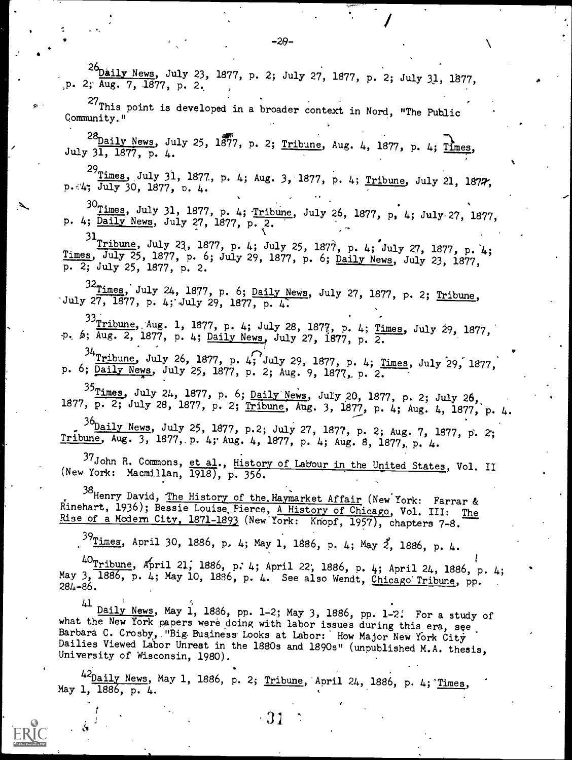26 Daily News, July 23, 1877, p. 2; July 27, 1877, p. 2; July 31, 1877, p. 2; Aug. 7, 1877, p. 2.  $P^2$  2<sup>27</sup>This point is developed in a broader context in Nord, "The Public  $Q$  .  $^{28}$ Daily News, July 25, 1877, p. 2; Tribune, Aug. 4, 1877, p. 4; Times, July 31, 1877, p. 4. <sup>29</sup>Times, July 31, 1877, p. 4; Aug. 3, 1877, p. 4; Tribune, July 21, 1877,  $p.44$ ;  $\frac{1}{July}$  30, 1877, p. 4.  $30$ Times, July 31, 1877, p. 4; Tribune, July 26, 1877, p. 4; July-27, 1877, p. 4; Daily News, July 27, 1877, p. 2.  $31$  Tribune, July 23, 1877, p. 4; July 25, 1877, p. 4; July 27, 1877, p. 4; Times, July 25, 1877, p. 6; July 29, 1877, p. 6; Daily News, July 23, 1877, p. 2; July 25, 1877, p. 2.  $\frac{32 \text{ times}}{27}$ , July 24, 1877, p. 6; Daily News, July 27, 1877, p. 2; Tribune, July 27, 1877, p. 4; July 29, 1877, p. 4. <sup>33</sup>Tribune, Aug. 1, 1877, p. 4; July 28, 1877, p. 4; Times, July 29, 1877, p. 6; Aug. 2, 1877, p. 4; <u>Daily News</u>, July 27, 1877, p. 2.  $\frac{34}{1}$ ribune, July 26, 1877, p. 4; July 29, 1877, p. 4; <u>Times</u>, July 29, 1877, p. 6; Daily News, July 25, 1877, p. 2; Aug. 9, 1877, p. 2.  $^{35}$ Times, July 24, 1877, p. 6; Daily News, July 20, 1877, p. 2; July 26, 1877, p. 2; July 28, 1877, p. 2; Tribune, Aug. 3, 1877, p. 4; Aug. 4, 1877, p. 4.  $36$ <u>Daily News</u>, July 25, 1877, p.2; July 27, 1877, p. 2; Aug. 7, 1877, p. 2; Tribune, Aug. 3, 1877, p. 4; Aug. 4, 1877, p. 4; Aug. 8, 1877, p. 4. 37 John R. Commons, et al., History of Labour in the United States, Vol. II (New York: Macmillan,  $\overline{1918}$ ,  $\overline{p}$ ,  $\overline{356}$ . 38<br>Henry David, <u>The History of the Haymarket Affair</u> (New York: Farrar & Rinehart, 1936); Bessie Louise Pierce, A History of Chicago, Vol. III: The Rise of a Modern City, 1871-1893 (New York: Knopf, 1957), chapters 7-8.  $39$ Times, April 30, 1886, p, 4; May 1, 1886, p. 4; May 2, 1886, p. 4.  $40$ <sub>Tribune</sub>, April 21; 1886, p. 4; April 22; 1886, p. 4; April 24, 1886, p. 4; May 3, 1886, p. 4; May 10, 1886, p. 4. See also Wendt, Chicago Tribune, pp.  $\frac{41}{10}$  Daily News, May 1, 1886, pp. 1-2; May 3, 1886, pp. 1-2. For a study of what the New York papers were doing with labor issues during this era, see,

 $-20-$ 

Barbara C. Crosby, "Big-Business Looks at Labor: How Major New York City Dailies Viewed Labor Unrest in the 1880s and 1890s" (unpublished M.A. thesis, University of Wisconsin, 1980).

<sup>42</sup>Daily News, May 1, 1886, p. 2; Tribune, April 24, 1886, p. 4; Times, May 1, 1886, p. 4.

31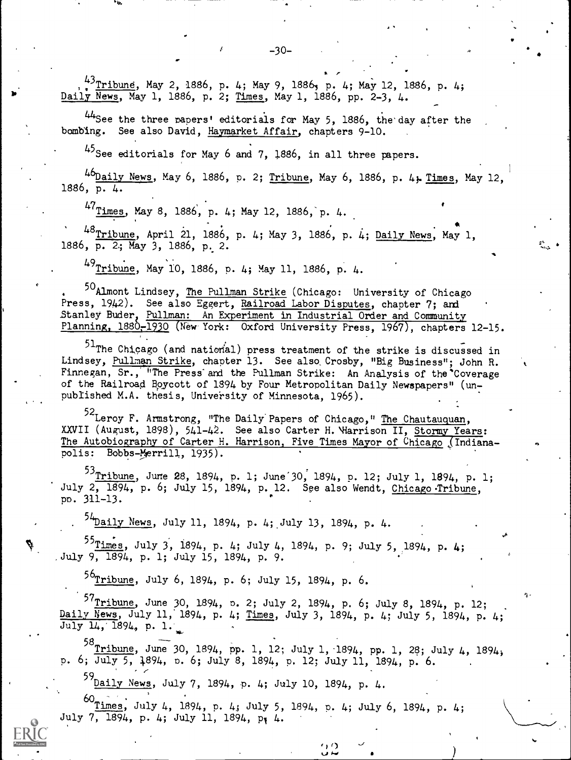<sup>43</sup> <u>Tribune</u>, May 2, 1886, p. 4; May 9, 1886, p. 4; May 12, 1886, p. 4; Daily News, May 1, 1886, p. 2; Times, May 1, 1886, pp. 2-3, 4.

44See the three capers' editorials for May 5, 1886, the'day after the bombing. See also David, Haymarket Affair, chapters 9-10.

45 See editorials for May 6 and 7, 1886, in all three papers.

46 Daily News, May 6, 1886, p. 2; Tribune, May 6, 1886, p. 4; Times, May 12, 1886, p. 4.

 $47$ Times, May 8, 1886, p. 4; May 12, 1886, p. 4.

dir

<sup>48</sup>Tribune, April 21, 1886, p. 4; May 3, 1886, p. 4; Daily News, May 1, 1886, p. 2; May 3, 1886, p. 2.

<sup>49</sup>Tribune, May 10, 1886, p. 4; May 11, 1886, p. 4.

<sup>50</sup> Almont Lindsey, The Pullman Strike (Chicago: University of Chicago Press, 1942). See also Eggert, <u>Railroad Labor Disputes</u>, chapter 7; and the control Stanley Buder, <u>Pullman: An Experiment in Industrial</u> Order and Community Planning, 1880<del>,</del>1930 (New York: Oxford University Press, 1967), chapters 12-15.

51<sub>The Chicago</sub> (and national) press treatment of the strike is discussed in Lindsey, Pullman Strike, chapter 13. See also, Crosby, "Big Business"; John R. Finnegan, Sr., "The Press and the Pullman Strike: An Analysis of the Coverage of the Railroad boycott of 1894 by Four Metropolitan Daily Newspapers" (unpublished M.A. thesis, University of Minnesota, 1965).

<sup>52</sup>Leroy F. Armstrong, "The Daily Papers of Chicago," <u>The Chautauquan</u>, XXVII (August, 1898), 541-42. See also Carter H. <del>Marrison II, <u>Stormy Years</u>:</del> The Autobiography of Carter H. Harrison, Five Times Mayor of Chicago (Indianapolis: Bobbs-Merrill, 1935).

 $^{53}$ Tribune, June 28, 1894, p. 1; June 30, 1894, p. 12; July 1, 1894, p. 1; July 2, 1894, p. 6; July 15, 1894, p. 12. See also Wendt, Chicago-Tribune, pp. 311-13.

. <sup>54</sup>Daily News, July 11, 1894, p. 4; July 13, 1894, p. 4.

 $^{25}$ Times, July 3, 1894, p. 4; July 4, 1894, p. 9; July 5, 1894, p. 4; .July 9, 1894, p. 1; July 15, 1894, P. 9.

<sup>56</sup>Tribune, July 6, 1894, p. 6; July 15, 1894, p. 6.

 $^{57}$ Tribune, June 30, 1894, p. 2; J $^5$ <u>Daily News</u>, July 11, 1894, p. 4; <u>Times</u>  $July \ 14, 1894, p. 1.$ o. 2; July 2, 1894, p. 6; July 8, 1894, P. 12; 4; Times, July 3, 1894, p. 4; July 5, 1894, p. 4;

<sup>58</sup> Tribune, June 30, 1894, pp. 1, 12; July 1, 1894, pp. 1, 28; July 4, 1894; p. 6; July 5, 1894, p. 6; July 8, 1894, p. 12; July 11, 1894, p. 6.

59 Daily News, July 7, 1894, p. 4; July 10, 1894, p. 4.

 $^{60}$ <u>Times</u>, July 4, 1894, p. 4; July 5, 1894, p. 4; July 6, 1894, p. 4; July 7, 1894, p. 4; July 11, 1894, p. 4.